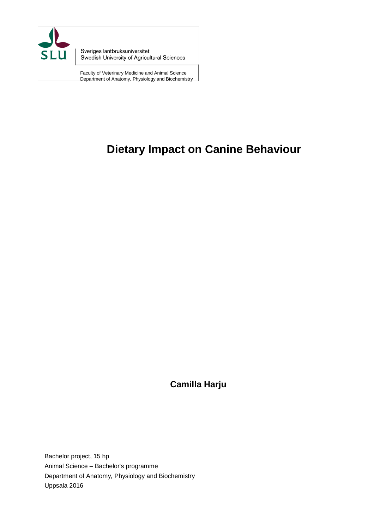

Sveriges lantbruksuniversitet Swedish University of Agricultural Sciences

Faculty of Veterinary Medicine and Animal Science Department of Anatomy, Physiology and Biochemistry

# **Dietary Impact on Canine Behaviour**

**Camilla Harju**

Bachelor project, 15 hp Animal Science – Bachelor's programme Department of Anatomy, Physiology and Biochemistry Uppsala 2016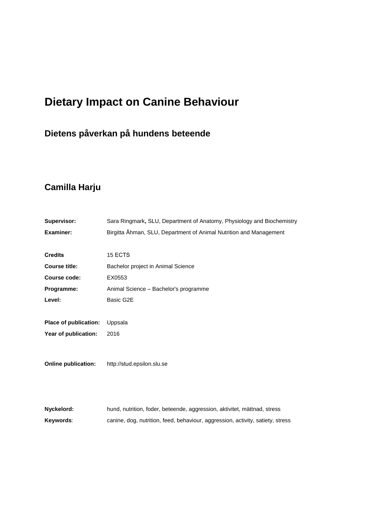# **Dietary Impact on Canine Behaviour**

# **Dietens påverkan på hundens beteende**

# **Camilla Harju**

| Supervisor:                | Sara Ringmark, SLU, Department of Anatomy, Physiology and Biochemistry         |
|----------------------------|--------------------------------------------------------------------------------|
| <b>Examiner:</b>           | Birgitta Åhman, SLU, Department of Animal Nutrition and Management             |
|                            |                                                                                |
| <b>Credits</b>             | 15 ECTS                                                                        |
| <b>Course title:</b>       | Bachelor project in Animal Science                                             |
| Course code:               | EX0553                                                                         |
| Programme:                 | Animal Science - Bachelor's programme                                          |
| Level:                     | Basic G2E                                                                      |
|                            |                                                                                |
| Place of publication:      | Uppsala                                                                        |
| Year of publication:       | 2016                                                                           |
|                            |                                                                                |
|                            |                                                                                |
| <b>Online publication:</b> | http://stud.epsilon.slu.se                                                     |
|                            |                                                                                |
|                            |                                                                                |
|                            |                                                                                |
| Nyckelord:                 | hund, nutrition, foder, beteende, aggression, aktivitet, mättnad, stress       |
| Keywords:                  | canine, dog, nutrition, feed, behaviour, aggression, activity, satiety, stress |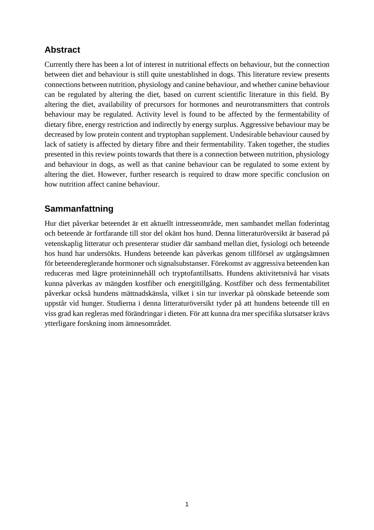# **Abstract**

Currently there has been a lot of interest in nutritional effects on behaviour, but the connection between diet and behaviour is still quite unestablished in dogs. This literature review presents connections between nutrition, physiology and canine behaviour, and whether canine behaviour can be regulated by altering the diet, based on current scientific literature in this field. By altering the diet, availability of precursors for hormones and neurotransmitters that controls behaviour may be regulated. Activity level is found to be affected by the fermentability of dietary fibre, energy restriction and indirectly by energy surplus. Aggressive behaviour may be decreased by low protein content and tryptophan supplement. Undesirable behaviour caused by lack of satiety is affected by dietary fibre and their fermentability. Taken together, the studies presented in this review points towards that there is a connection between nutrition, physiology and behaviour in dogs, as well as that canine behaviour can be regulated to some extent by altering the diet. However, further research is required to draw more specific conclusion on how nutrition affect canine behaviour.

# **Sammanfattning**

Hur diet påverkar beteendet är ett aktuellt intresseområde, men sambandet mellan foderintag och beteende är fortfarande till stor del okänt hos hund. Denna litteraturöversikt är baserad på vetenskaplig litteratur och presenterar studier där samband mellan diet, fysiologi och beteende hos hund har undersökts. Hundens beteende kan påverkas genom tillförsel av utgångsämnen för beteendereglerande hormoner och signalsubstanser. Förekomst av aggressiva beteenden kan reduceras med lägre proteininnehåll och tryptofantillsatts. Hundens aktivitetsnivå har visats kunna påverkas av mängden kostfiber och energitillgång. Kostfiber och dess fermentabilitet påverkar också hundens mättnadskänsla, vilket i sin tur inverkar på oönskade beteende som uppstår vid hunger. Studierna i denna litteraturöversikt tyder på att hundens beteende till en viss grad kan regleras med förändringar i dieten. För att kunna dra mer specifika slutsatser krävs ytterligare forskning inom ämnesområdet.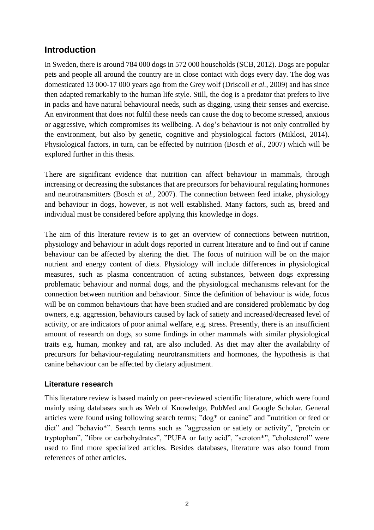## **Introduction**

In Sweden, there is around 784 000 dogs in 572 000 households (SCB, 2012). Dogs are popular pets and people all around the country are in close contact with dogs every day. The dog was domesticated 13 000-17 000 years ago from the Grey wolf (Driscoll *et al.*, 2009) and has since then adapted remarkably to the human life style. Still, the dog is a predator that prefers to live in packs and have natural behavioural needs, such as digging, using their senses and exercise. An environment that does not fulfil these needs can cause the dog to become stressed, anxious or aggressive, which compromises its wellbeing. A dog's behaviour is not only controlled by the environment, but also by genetic, cognitive and physiological factors (Miklosi, 2014). Physiological factors, in turn, can be effected by nutrition (Bosch *et al.*, 2007) which will be explored further in this thesis.

There are significant evidence that nutrition can affect behaviour in mammals, through increasing or decreasing the substances that are precursors for behavioural regulating hormones and neurotransmitters (Bosch *et al.*, 2007). The connection between feed intake, physiology and behaviour in dogs, however, is not well established. Many factors, such as, breed and individual must be considered before applying this knowledge in dogs.

The aim of this literature review is to get an overview of connections between nutrition, physiology and behaviour in adult dogs reported in current literature and to find out if canine behaviour can be affected by altering the diet. The focus of nutrition will be on the major nutrient and energy content of diets. Physiology will include differences in physiological measures, such as plasma concentration of acting substances, between dogs expressing problematic behaviour and normal dogs, and the physiological mechanisms relevant for the connection between nutrition and behaviour. Since the definition of behaviour is wide, focus will be on common behaviours that have been studied and are considered problematic by dog owners, e.g. aggression, behaviours caused by lack of satiety and increased/decreased level of activity, or are indicators of poor animal welfare, e.g. stress. Presently, there is an insufficient amount of research on dogs, so some findings in other mammals with similar physiological traits e.g. human, monkey and rat, are also included. As diet may alter the availability of precursors for behaviour-regulating neurotransmitters and hormones, the hypothesis is that canine behaviour can be affected by dietary adjustment.

#### **Literature research**

This literature review is based mainly on peer-reviewed scientific literature, which were found mainly using databases such as Web of Knowledge, PubMed and Google Scholar. General articles were found using following search terms; "dog\* or canine" and "nutrition or feed or diet" and "behavio\*". Search terms such as "aggression or satiety or activity", "protein or tryptophan", "fibre or carbohydrates", "PUFA or fatty acid", "seroton\*", "cholesterol" were used to find more specialized articles. Besides databases, literature was also found from references of other articles.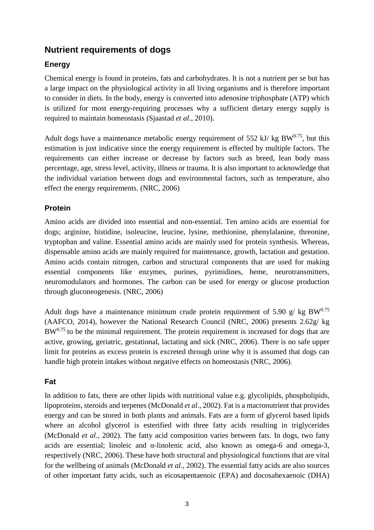## **Nutrient requirements of dogs**

## **Energy**

Chemical energy is found in proteins, fats and carbohydrates. It is not a nutrient per se but has a large impact on the physiological activity in all living organisms and is therefore important to consider in diets. In the body, energy is converted into adenosine triphosphate (ATP) which is utilized for most energy-requiring processes why a sufficient dietary energy supply is required to maintain homeostasis (Sjaastad *et al.*, 2010).

Adult dogs have a maintenance metabolic energy requirement of 552 kJ/ kg BW $^{0.75}$ , but this estimation is just indicative since the energy requirement is effected by multiple factors. The requirements can either increase or decrease by factors such as breed, lean body mass percentage, age, stress level, activity, illness or trauma. It is also important to acknowledge that the individual variation between dogs and environmental factors, such as temperature, also effect the energy requirements. (NRC, 2006)

### **Protein**

Amino acids are divided into essential and non-essential. Ten amino acids are essential for dogs; arginine, histidine, isoleucine, leucine, lysine, methionine, phenylalanine, threonine, tryptophan and valine. Essential amino acids are mainly used for protein synthesis. Whereas, dispensable amino acids are mainly required for maintenance, growth, lactation and gestation. Amino acids contain nitrogen, carbon and structural components that are used for making essential components like enzymes, purines, pyrimidines, heme, neurotransmitters, neuromodulators and hormones. The carbon can be used for energy or glucose production through gluconeogenesis. (NRC, 2006)

Adult dogs have a maintenance minimum crude protein requirement of 5.90 g/ kg BW<sup>0.75</sup> (AAFCO, 2014), however the National Research Council (NRC, 2006) presents 2.62g/ kg  $BW<sup>0.75</sup>$  to be the minimal requirement. The protein requirement is increased for dogs that are active, growing, geriatric, gestational, lactating and sick (NRC, 2006). There is no safe upper limit for proteins as excess protein is excreted through urine why it is assumed that dogs can handle high protein intakes without negative effects on homeostasis (NRC, 2006).

### **Fat**

In addition to fats, there are other lipids with nutritional value e.g. glycolipids, phospholipids, lipoproteins, steroids and terpenes (McDonald *et al*., 2002). Fat is a macronutrient that provides energy and can be stored in both plants and animals. Fats are a form of glycerol based lipids where an alcohol glycerol is esterified with three fatty acids resulting in triglycerides (McDonald *et al.*, 2002). The fatty acid composition varies between fats. In dogs, two fatty acids are essential; linoleic and  $\alpha$ -linolenic acid, also known as omega-6 and omega-3, respectively (NRC, 2006). These have both structural and physiological functions that are vital for the wellbeing of animals (McDonald *et al.*, 2002). The essential fatty acids are also sources of other important fatty acids, such as eicosapentaenoic (EPA) and docosahexaenoic (DHA)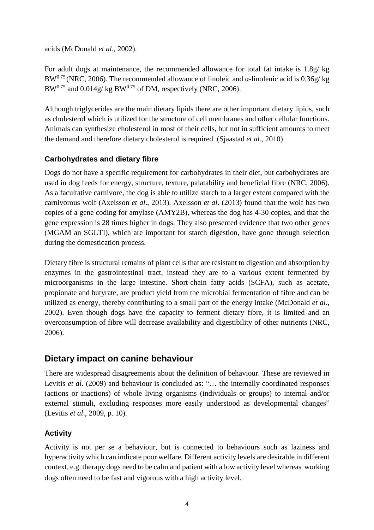acids (McDonald *et al*., 2002).

For adult dogs at maintenance, the recommended allowance for total fat intake is 1.8g/ kg BW<sup>0.75</sup> (NRC, 2006). The recommended allowance of linoleic and α-linolenic acid is 0.36g/ kg  $BW^{0.75}$  and  $0.014g/kg$  BW<sup>0.75</sup> of DM, respectively (NRC, 2006).

Although triglycerides are the main dietary lipids there are other important dietary lipids, such as cholesterol which is utilized for the structure of cell membranes and other cellular functions. Animals can synthesize cholesterol in most of their cells, but not in sufficient amounts to meet the demand and therefore dietary cholesterol is required. (Sjaastad *et al.*, 2010)

### **Carbohydrates and dietary fibre**

Dogs do not have a specific requirement for carbohydrates in their diet, but carbohydrates are used in dog feeds for energy, structure, texture, palatability and beneficial fibre (NRC, 2006). As a facultative carnivore, the dog is able to utilize starch to a larger extent compared with the carnivorous wolf (Axelsson *et al*., 2013). Axelsson *et al*. (2013) found that the wolf has two copies of a gene coding for amylase (AMY2B), whereas the dog has 4-30 copies, and that the gene expression is 28 times higher in dogs. They also presented evidence that two other genes (MGAM an SGLTI), which are important for starch digestion, have gone through selection during the domestication process.

Dietary fibre is structural remains of plant cells that are resistant to digestion and absorption by enzymes in the gastrointestinal tract, instead they are to a various extent fermented by microorganisms in the large intestine. Short-chain fatty acids (SCFA), such as acetate, propionate and butyrate, are product yield from the microbial fermentation of fibre and can be utilized as energy, thereby contributing to a small part of the energy intake (McDonald *et al.*, 2002). Even though dogs have the capacity to ferment dietary fibre, it is limited and an overconsumption of fibre will decrease availability and digestibility of other nutrients (NRC, 2006).

## **Dietary impact on canine behaviour**

There are widespread disagreements about the definition of behaviour. These are reviewed in Levitis *et al.* (2009) and behaviour is concluded as: "... the internally coordinated responses (actions or inactions) of whole living organisms (individuals or groups) to internal and/or external stimuli, excluding responses more easily understood as developmental changes" (Levitis *et al*., 2009, p. 10).

## **Activity**

Activity is not per se a behaviour, but is connected to behaviours such as laziness and hyperactivity which can indicate poor welfare. Different activity levels are desirable in different context, e.g. therapy dogs need to be calm and patient with a low activity level whereas working dogs often need to be fast and vigorous with a high activity level.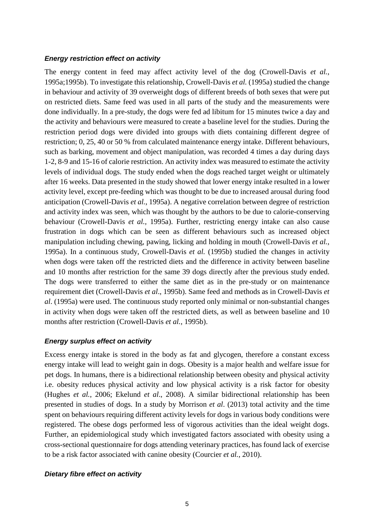#### *Energy restriction effect on activity*

The energy content in feed may affect activity level of the dog (Crowell-Davis *et al.*, 1995a;1995b). To investigate this relationship, Crowell-Davis *et al.* (1995a) studied the change in behaviour and activity of 39 overweight dogs of different breeds of both sexes that were put on restricted diets. Same feed was used in all parts of the study and the measurements were done individually. In a pre-study, the dogs were fed ad libitum for 15 minutes twice a day and the activity and behaviours were measured to create a baseline level for the studies. During the restriction period dogs were divided into groups with diets containing different degree of restriction; 0, 25, 40 or 50 % from calculated maintenance energy intake. Different behaviours, such as barking, movement and object manipulation, was recorded 4 times a day during days 1-2, 8-9 and 15-16 of calorie restriction. An activity index was measured to estimate the activity levels of individual dogs. The study ended when the dogs reached target weight or ultimately after 16 weeks. Data presented in the study showed that lower energy intake resulted in a lower activity level, except pre-feeding which was thought to be due to increased arousal during food anticipation (Crowell-Davis *et al.*, 1995a). A negative correlation between degree of restriction and activity index was seen, which was thought by the authors to be due to calorie-conserving behaviour (Crowell-Davis *et al.,* 1995a). Further, restricting energy intake can also cause frustration in dogs which can be seen as different behaviours such as increased object manipulation including chewing, pawing, licking and holding in mouth (Crowell-Davis *et al.*, 1995a). In a continuous study, Crowell-Davis *et al.* (1995b) studied the changes in activity when dogs were taken off the restricted diets and the difference in activity between baseline and 10 months after restriction for the same 39 dogs directly after the previous study ended. The dogs were transferred to either the same diet as in the pre-study or on maintenance requirement diet (Crowell-Davis *et al*., 1995b). Same feed and methods as in Crowell-Davis *et al*. (1995a) were used. The continuous study reported only minimal or non-substantial changes in activity when dogs were taken off the restricted diets, as well as between baseline and 10 months after restriction (Crowell-Davis *et al.*, 1995b).

#### *Energy surplus effect on activity*

Excess energy intake is stored in the body as fat and glycogen, therefore a constant excess energy intake will lead to weight gain in dogs. Obesity is a major health and welfare issue for pet dogs. In humans, there is a bidirectional relationship between obesity and physical activity i.e. obesity reduces physical activity and low physical activity is a risk factor for obesity (Hughes *et al.*, 2006; Ekelund *et al*., 2008). A similar bidirectional relationship has been presented in studies of dogs. In a study by Morrison *et al*. (2013) total activity and the time spent on behaviours requiring different activity levels for dogs in various body conditions were registered. The obese dogs performed less of vigorous activities than the ideal weight dogs. Further, an epidemiological study which investigated factors associated with obesity using a cross-sectional questionnaire for dogs attending veterinary practices, has found lack of exercise to be a risk factor associated with canine obesity (Courcier *et al.*, 2010).

#### *Dietary fibre effect on activity*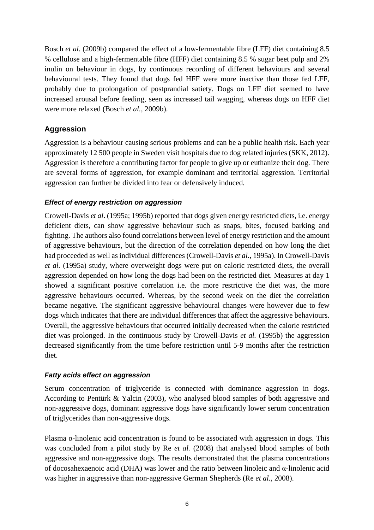Bosch *et al.* (2009b) compared the effect of a low-fermentable fibre (LFF) diet containing 8.5 % cellulose and a high-fermentable fibre (HFF) diet containing 8.5 % sugar beet pulp and 2% inulin on behaviour in dogs, by continuous recording of different behaviours and several behavioural tests. They found that dogs fed HFF were more inactive than those fed LFF, probably due to prolongation of postprandial satiety. Dogs on LFF diet seemed to have increased arousal before feeding, seen as increased tail wagging, whereas dogs on HFF diet were more relaxed (Bosch *et al.,* 2009b).

## **Aggression**

Aggression is a behaviour causing serious problems and can be a public health risk. Each year approximately 12 500 people in Sweden visit hospitals due to dog related injuries (SKK, 2012). Aggression is therefore a contributing factor for people to give up or euthanize their dog. There are several forms of aggression, for example dominant and territorial aggression. Territorial aggression can further be divided into fear or defensively induced.

#### *Effect of energy restriction on aggression*

Crowell-Davis *et al*. (1995a; 1995b) reported that dogs given energy restricted diets, i.e. energy deficient diets, can show aggressive behaviour such as snaps, bites, focused barking and fighting. The authors also found correlations between level of energy restriction and the amount of aggressive behaviours, but the direction of the correlation depended on how long the diet had proceeded as well as individual differences (Crowell-Davis *et al.*, 1995a). In Crowell-Davis *et al.* (1995a) study, where overweight dogs were put on caloric restricted diets, the overall aggression depended on how long the dogs had been on the restricted diet. Measures at day 1 showed a significant positive correlation i.e. the more restrictive the diet was, the more aggressive behaviours occurred. Whereas, by the second week on the diet the correlation became negative. The significant aggressive behavioural changes were however due to few dogs which indicates that there are individual differences that affect the aggressive behaviours. Overall, the aggressive behaviours that occurred initially decreased when the calorie restricted diet was prolonged. In the continuous study by Crowell-Davis *et al.* (1995b) the aggression decreased significantly from the time before restriction until 5-9 months after the restriction diet.

#### *Fatty acids effect on aggression*

Serum concentration of triglyceride is connected with dominance aggression in dogs. According to Pentürk & Yalcin (2003), who analysed blood samples of both aggressive and non-aggressive dogs, dominant aggressive dogs have significantly lower serum concentration of triglycerides than non-aggressive dogs.

Plasma α-linolenic acid concentration is found to be associated with aggression in dogs. This was concluded from a pilot study by Re *et al.* (2008) that analysed blood samples of both aggressive and non-aggressive dogs. The results demonstrated that the plasma concentrations of docosahexaenoic acid (DHA) was lower and the ratio between linoleic and  $\alpha$ -linolenic acid was higher in aggressive than non-aggressive German Shepherds (Re *et al.,* 2008).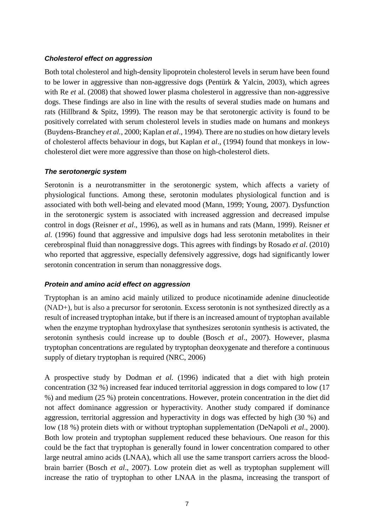#### *Cholesterol effect on aggression*

Both total cholesterol and high-density lipoprotein cholesterol levels in serum have been found to be lower in aggressive than non-aggressive dogs (Pentürk & Yalcin, 2003), which agrees with Re *et* al. (2008) that showed lower plasma cholesterol in aggressive than non-aggressive dogs. These findings are also in line with the results of several studies made on humans and rats (Hillbrand & Spitz, 1999). The reason may be that serotonergic activity is found to be positively correlated with serum cholesterol levels in studies made on humans and monkeys (Buydens-Branchey *et al.*, 2000; Kaplan *et al*., 1994). There are no studies on how dietary levels of cholesterol affects behaviour in dogs, but Kaplan *et al*., (1994) found that monkeys in lowcholesterol diet were more aggressive than those on high-cholesterol diets.

#### *The serotonergic system*

Serotonin is a neurotransmitter in the serotonergic system, which affects a variety of physiological functions. Among these, serotonin modulates physiological function and is associated with both well-being and elevated mood (Mann, 1999; Young, 2007). Dysfunction in the serotonergic system is associated with increased aggression and decreased impulse control in dogs (Reisner *et al*., 1996), as well as in humans and rats (Mann, 1999). Reisner *et al.* (1996) found that aggressive and impulsive dogs had less serotonin metabolites in their cerebrospinal fluid than nonaggressive dogs. This agrees with findings by Rosado *et al*. (2010) who reported that aggressive, especially defensively aggressive, dogs had significantly lower serotonin concentration in serum than nonaggressive dogs.

#### *Protein and amino acid effect on aggression*

Tryptophan is an amino acid mainly utilized to produce [nicotinamide](https://en.wikipedia.org/wiki/Nicotinamide_adenine_dinucleotide) adenine dinucleotide (NAD+), but is also a precursor for serotonin. Excess serotonin is not synthesized directly as a result of increased tryptophan intake, but if there is an increased amount of tryptophan available when the enzyme tryptophan hydroxylase that synthesizes serotonin synthesis is activated, the serotonin synthesis could increase up to double (Bosch *et al*., 2007). However, plasma tryptophan concentrations are regulated by tryptophan deoxygenate and therefore a continuous supply of dietary tryptophan is required (NRC, 2006)

A prospective study by Dodman *et al.* (1996) indicated that a diet with high protein concentration (32 %) increased fear induced territorial aggression in dogs compared to low (17 %) and medium (25 %) protein concentrations. However, protein concentration in the diet did not affect dominance aggression or hyperactivity. Another study compared if dominance aggression, territorial aggression and hyperactivity in dogs was effected by high (30 %) and low (18 %) protein diets with or without tryptophan supplementation (DeNapoli *et al*., 2000). Both low protein and tryptophan supplement reduced these behaviours. One reason for this could be the fact that tryptophan is generally found in lower concentration compared to other large neutral amino acids (LNAA), which all use the same transport carriers across the bloodbrain barrier (Bosch *et al*., 2007). Low protein diet as well as tryptophan supplement will increase the ratio of tryptophan to other LNAA in the plasma, increasing the transport of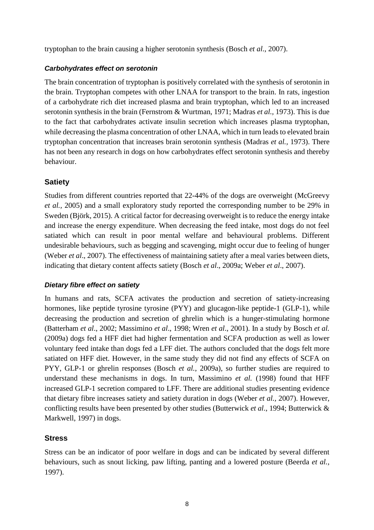tryptophan to the brain causing a higher serotonin synthesis (Bosch *et al*., 2007).

#### *Carbohydrates effect on serotonin*

The brain concentration of tryptophan is positively correlated with the synthesis of serotonin in the brain. Tryptophan competes with other LNAA for transport to the brain. In rats, ingestion of a carbohydrate rich diet increased plasma and brain tryptophan, which led to an increased serotonin synthesis in the brain (Fernstrom & Wurtman, 1971; Madras *et al.,* 1973). This is due to the fact that carbohydrates activate insulin secretion which increases plasma tryptophan, while decreasing the plasma concentration of other LNAA, which in turn leads to elevated brain tryptophan concentration that increases brain serotonin synthesis (Madras *et al.,* 1973). There has not been any research in dogs on how carbohydrates effect serotonin synthesis and thereby behaviour.

## **Satiety**

Studies from different countries reported that 22-44% of the dogs are overweight (McGreevy *et al.,* 2005) and a small exploratory study reported the corresponding number to be 29% in Sweden (Björk, 2015). A critical factor for decreasing overweight is to reduce the energy intake and increase the energy expenditure. When decreasing the feed intake, most dogs do not feel satiated which can result in poor mental welfare and behavioural problems. Different undesirable behaviours, such as begging and scavenging, might occur due to feeling of hunger (Weber *et al*., 2007). The effectiveness of maintaining satiety after a meal varies between diets, indicating that dietary content affects satiety (Bosch *et al*., 2009a; Weber *et al*., 2007).

#### *Dietary fibre effect on satiety*

In humans and rats, SCFA activates the production and secretion of satiety-increasing hormones, like peptide tyrosine tyrosine (PYY) and glucagon-like peptide-1 (GLP-1), while decreasing the production and secretion of ghrelin which is a hunger-stimulating hormone (Batterham *et al*., 2002; Massimino *et al*., 1998; Wren *et al*., 2001). In a study by Bosch *et al.* (2009a) dogs fed a HFF diet had higher fermentation and SCFA production as well as lower voluntary feed intake than dogs fed a LFF diet. The authors concluded that the dogs felt more satiated on HFF diet. However, in the same study they did not find any effects of SCFA on PYY, GLP-1 or ghrelin responses (Bosch *et al.*, 2009a), so further studies are required to understand these mechanisms in dogs. In turn, Massimino *et al.* (1998) found that HFF increased GLP-1 secretion compared to LFF. There are additional studies presenting evidence that dietary fibre increases satiety and satiety duration in dogs (Weber *et al.,* 2007). However, conflicting results have been presented by other studies (Butterwick *et al*., 1994; Butterwick & Markwell, 1997) in dogs.

### **Stress**

Stress can be an indicator of poor welfare in dogs and can be indicated by several different behaviours, such as snout licking, paw lifting, panting and a lowered posture (Beerda *et al.,* 1997).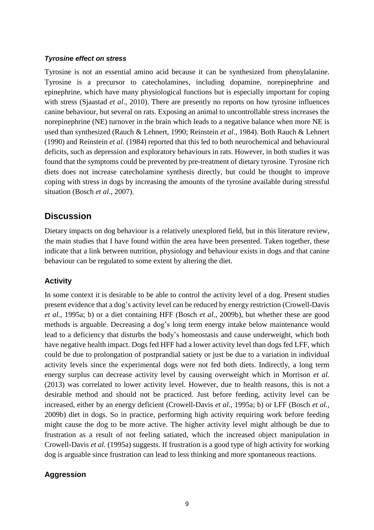#### *Tyrosine effect on stress*

Tyrosine is not an essential amino acid because it can be synthesized from phenylalanine. Tyrosine is a precursor to catecholamines, including dopamine, norepinephrine and epinephrine, which have many physiological functions but is especially important for coping with stress (Sjaastad *et al*., 2010). There are presently no reports on how tyrosine influences canine behaviour, but several on rats. Exposing an animal to uncontrollable stress increases the norepinephrine (NE) turnover in the brain which leads to a negative balance when more NE is used than synthesized (Rauch & Lehnert, 1990; Reinstein *et al*., 1984). Both Rauch & Lehnert (1990) and Reinstein *et al.* (1984) reported that this led to both neurochemical and behavioural deficits, such as depression and exploratory behaviours in rats. However, in both studies it was found that the symptoms could be prevented by pre-treatment of dietary tyrosine. Tyrosine rich diets does not increase catecholamine synthesis directly, but could be thought to improve coping with stress in dogs by increasing the amounts of the tyrosine available during stressful situation (Bosch *et al.*, 2007).

## **Discussion**

Dietary impacts on dog behaviour is a relatively unexplored field, but in this literature review, the main studies that I have found within the area have been presented. Taken together, these indicate that a link between nutrition, physiology and behaviour exists in dogs and that canine behaviour can be regulated to some extent by altering the diet.

#### **Activity**

In some context it is desirable to be able to control the activity level of a dog. Present studies present evidence that a dog's activity level can be reduced by energy restriction (Crowell-Davis *et al.*, 1995a; b) or a diet containing HFF (Bosch *et al.,* 2009b), but whether these are good methods is arguable. Decreasing a dog's long term energy intake below maintenance would lead to a deficiency that disturbs the body's homeostasis and cause underweight, which both have negative health impact. Dogs fed HFF had a lower activity level than dogs fed LFF, which could be due to prolongation of postprandial satiety or just be due to a variation in individual activity levels since the experimental dogs were not fed both diets. Indirectly, a long term energy surplus can decrease activity level by causing overweight which in Morrison *et al.* (2013) was correlated to lower activity level. However, due to health reasons, this is not a desirable method and should not be practiced. Just before feeding, activity level can be increased, either by an energy deficient (Crowell-Davis *et al.*, 1995a; b) or LFF (Bosch *et al.,* 2009b) diet in dogs. So in practice, performing high activity requiring work before feeding might cause the dog to be more active. The higher activity level might although be due to frustration as a result of not feeling satiated, which the increased object manipulation in Crowell-Davis *et al.* (1995a) suggests. If frustration is a good type of high activity for working dog is arguable since frustration can lead to less thinking and more spontaneous reactions.

#### **Aggression**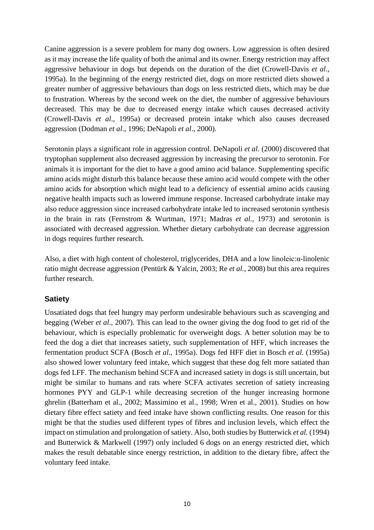Canine aggression is a severe problem for many dog owners. Low aggression is often desired as it may increase the life quality of both the animal and its owner. Energy restriction may affect aggressive behaviour in dogs but depends on the duration of the diet (Crowell-Davis *et al*., 1995a). In the beginning of the energy restricted diet, dogs on more restricted diets showed a greater number of aggressive behaviours than dogs on less restricted diets, which may be due to frustration. Whereas by the second week on the diet, the number of aggressive behaviours decreased. This may be due to decreased energy intake which causes decreased activity (Crowell-Davis *et al*., 1995a) or decreased protein intake which also causes decreased aggression (Dodman *et al*., 1996; DeNapoli *et al*., 2000).

Serotonin plays a significant role in aggression control. DeNapoli *et al.* (2000) discovered that tryptophan supplement also decreased aggression by increasing the precursor to serotonin. For animals it is important for the diet to have a good amino acid balance. Supplementing specific amino acids might disturb this balance because these amino acid would compete with the other amino acids for absorption which might lead to a deficiency of essential amino acids causing negative health impacts such as lowered immune response. Increased carbohydrate intake may also reduce aggression since increased carbohydrate intake led to increased serotonin synthesis in the brain in rats (Fernstrom & Wurtman, 1971; Madras *et al.,* 1973) and serotonin is associated with decreased aggression. Whether dietary carbohydrate can decrease aggression in dogs requires further research.

Also, a diet with high content of cholesterol, triglycerides, DHA and a low linoleic:α-linolenic ratio might decrease aggression (Pentürk & Yalcin, 2003; Re *et al.,* 2008) but this area requires further research.

### **Satiety**

Unsatiated dogs that feel hungry may perform undesirable behaviours such as scavenging and begging (Weber *et al.,* 2007). This can lead to the owner giving the dog food to get rid of the behaviour, which is especially problematic for overweight dogs. A better solution may be to feed the dog a diet that increases satiety, such supplementation of HFF, which increases the fermentation product SCFA (Bosch *et al.*, 1995a). Dogs fed HFF diet in Bosch *et al.* (1995a) also showed lower voluntary feed intake, which suggest that these dog felt more satiated than dogs fed LFF. The mechanism behind SCFA and increased satiety in dogs is still uncertain, but might be similar to humans and rats where SCFA activates secretion of satiety increasing hormones PYY and GLP-1 while decreasing secretion of the hunger increasing hormone ghrelin (Batterham et al., 2002; Massimino et al., 1998; Wren et al., 2001). Studies on how dietary fibre effect satiety and feed intake have shown conflicting results. One reason for this might be that the studies used different types of fibres and inclusion levels, which effect the impact on stimulation and prolongation of satiety. Also, both studies by Butterwick *et al.* (1994) and Butterwick & Markwell (1997) only included 6 dogs on an energy restricted diet, which makes the result debatable since energy restriction, in addition to the dietary fibre, affect the voluntary feed intake.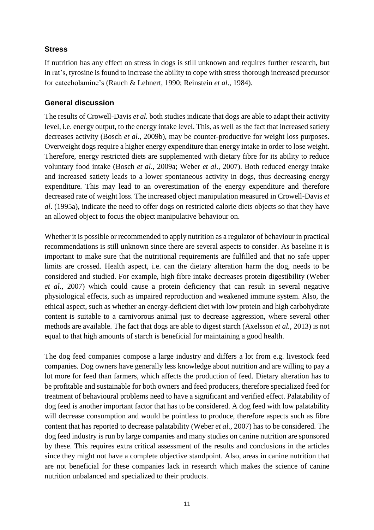#### **Stress**

If nutrition has any effect on stress in dogs is still unknown and requires further research, but in rat's, tyrosine is found to increase the ability to cope with stress thorough increased precursor for catecholamine's (Rauch & Lehnert, 1990; Reinstein *et al*., 1984).

#### **General discussion**

The results of Crowell-Davis *et al.* both studies indicate that dogs are able to adapt their activity level, i.e. energy output, to the energy intake level. This, as well as the fact that increased satiety decreases activity (Bosch *et al*., 2009b), may be counter-productive for weight loss purposes. Overweight dogs require a higher energy expenditure than energy intake in order to lose weight. Therefore, energy restricted diets are supplemented with dietary fibre for its ability to reduce voluntary food intake (Bosch *et al*., 2009a; Weber *et al*., 2007). Both reduced energy intake and increased satiety leads to a lower spontaneous activity in dogs, thus decreasing energy expenditure. This may lead to an overestimation of the energy expenditure and therefore decreased rate of weight loss. The increased object manipulation measured in Crowell-Davis *et al*. (1995a), indicate the need to offer dogs on restricted calorie diets objects so that they have an allowed object to focus the object manipulative behaviour on.

Whether it is possible or recommended to apply nutrition as a regulator of behaviour in practical recommendations is still unknown since there are several aspects to consider. As baseline it is important to make sure that the nutritional requirements are fulfilled and that no safe upper limits are crossed. Health aspect, i.e. can the dietary alteration harm the dog, needs to be considered and studied. For example, high fibre intake decreases protein digestibility (Weber *et al.,* 2007) which could cause a protein deficiency that can result in several negative physiological effects, such as impaired reproduction and weakened immune system. Also, the ethical aspect, such as whether an energy-deficient diet with low protein and high carbohydrate content is suitable to a carnivorous animal just to decrease aggression, where several other methods are available. The fact that dogs are able to digest starch (Axelsson *et al.,* 2013) is not equal to that high amounts of starch is beneficial for maintaining a good health.

The dog feed companies compose a large industry and differs a lot from e.g. livestock feed companies. Dog owners have generally less knowledge about nutrition and are willing to pay a lot more for feed than farmers, which affects the production of feed. Dietary alteration has to be profitable and sustainable for both owners and feed producers, therefore specialized feed for treatment of behavioural problems need to have a significant and verified effect. Palatability of dog feed is another important factor that has to be considered. A dog feed with low palatability will decrease consumption and would be pointless to produce, therefore aspects such as fibre content that has reported to decrease palatability (Weber *et al.,* 2007) has to be considered. The dog feed industry is run by large companies and many studies on canine nutrition are sponsored by these. This requires extra critical assessment of the results and conclusions in the articles since they might not have a complete objective standpoint. Also, areas in canine nutrition that are not beneficial for these companies lack in research which makes the science of canine nutrition unbalanced and specialized to their products.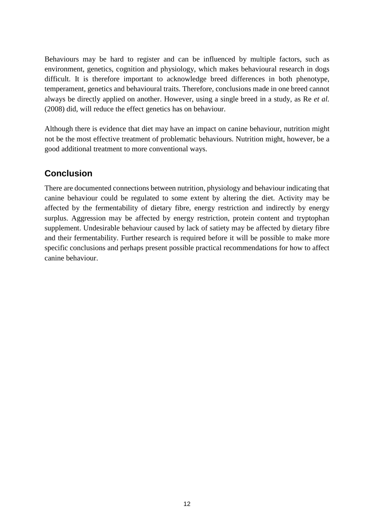Behaviours may be hard to register and can be influenced by multiple factors, such as environment, genetics, cognition and physiology, which makes behavioural research in dogs difficult. It is therefore important to acknowledge breed differences in both phenotype, temperament, genetics and behavioural traits. Therefore, conclusions made in one breed cannot always be directly applied on another. However, using a single breed in a study, as Re *et al.* (2008) did, will reduce the effect genetics has on behaviour.

Although there is evidence that diet may have an impact on canine behaviour, nutrition might not be the most effective treatment of problematic behaviours. Nutrition might, however, be a good additional treatment to more conventional ways.

# **Conclusion**

There are documented connections between nutrition, physiology and behaviour indicating that canine behaviour could be regulated to some extent by altering the diet. Activity may be affected by the fermentability of dietary fibre, energy restriction and indirectly by energy surplus. Aggression may be affected by energy restriction, protein content and tryptophan supplement. Undesirable behaviour caused by lack of satiety may be affected by dietary fibre and their fermentability. Further research is required before it will be possible to make more specific conclusions and perhaps present possible practical recommendations for how to affect canine behaviour.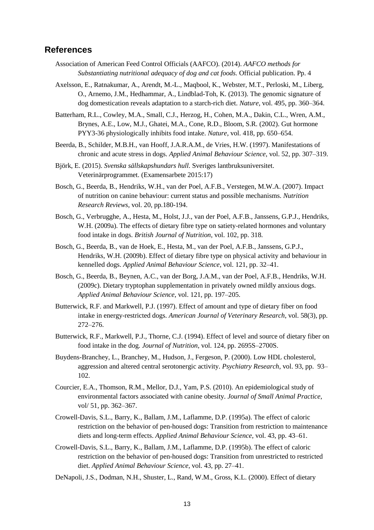#### **References**

- Association of American Feed Control Officials (AAFCO). (2014). *AAFCO methods for Substantiating nutritional adequacy of dog and cat foods.* Official publication. Pp. 4
- Axelsson, E., Ratnakumar, A., Arendt, M.-L., Maqbool, K., Webster, M.T., Perloski, M., Liberg, O., Arnemo, J.M., Hedhammar, A., Lindblad-Toh, K. (2013). The genomic signature of dog domestication reveals adaptation to a starch-rich diet. *Nature,* vol. 495, pp. 360–364.

Batterham, R.L., Cowley, M.A., Small, C.J., Herzog, H., Cohen, M.A., Dakin, C.L., Wren, A.M., Brynes, A.E., Low, M.J., Ghatei, M.A., Cone, R.D., Bloom, S.R. (2002). Gut hormone PYY3-36 physiologically inhibits food intake. *Nature*, vol. 418, pp. 650–654.

- Beerda, B., Schilder, M.B.H., van Hooff, J.A.R.A.M., de Vries, H.W. (1997). Manifestations of chronic and acute stress in dogs. *Applied Animal Behaviour Science*, vol. 52, pp. 307–319.
- Björk, E. (2015). *Svenska sällskapshundars hull*. Sveriges lantbruksuniversitet. Veterinärprogrammet. (Examensarbete 2015:17)
- Bosch, G., Beerda, B., Hendriks, W.H., van der Poel, A.F.B., Verstegen, M.W.A. (2007). Impact of nutrition on canine behaviour: current status and possible mechanisms. *Nutrition Research Reviews*, vol. 20, pp.180-194.
- Bosch, G., Verbrugghe, A., Hesta, M., Holst, J.J., van der Poel, A.F.B., Janssens, G.P.J., Hendriks, W.H. (2009a). The effects of dietary fibre type on satiety-related hormones and voluntary food intake in dogs. *British Journal of Nutrition*, vol. 102, pp. 318.
- Bosch, G., Beerda, B., van de Hoek, E., Hesta, M., van der Poel, A.F.B., Janssens, G.P.J., Hendriks, W.H. (2009b). Effect of dietary fibre type on physical activity and behaviour in kennelled dogs. *Applied Animal Behaviour Science*, vol. 121, pp. 32–41.
- Bosch, G., Beerda, B., Beynen, A.C., van der Borg, J.A.M., van der Poel, A.F.B., Hendriks, W.H. (2009c). Dietary tryptophan supplementation in privately owned mildly anxious dogs. *Applied Animal Behaviour Science*, vol. 121, pp. 197–205.
- Butterwick, R.F. and Markwell, P.J. (1997). Effect of amount and type of dietary fiber on food intake in energy-restricted dogs. *American Journal of Veterinary Research*, vol. 58(3), pp. 272–276.
- Butterwick, R.F., Markwell, P.J., Thorne, C.J. (1994). Effect of level and source of dietary fiber on food intake in the dog. *Journal of Nutrition*, vol. 124, pp. 2695S–2700S.
- Buydens-Branchey, L., Branchey, M., Hudson, J., Fergeson, P. (2000). Low HDL cholesterol, aggression and altered central serotonergic activity. *Psychiatry Research*, vol. 93, pp. 93– 102.
- Courcier, E.A., Thomson, R.M., Mellor, D.J., Yam, P.S. (2010). An epidemiological study of environmental factors associated with canine obesity. *Journal of Small Animal Practice*, vol/ 51, pp. 362–367.
- Crowell-Davis, S.L., Barry, K., Ballam, J.M., Laflamme, D.P. (1995a). The effect of caloric restriction on the behavior of pen-housed dogs: Transition from restriction to maintenance diets and long-term effects. *Applied Animal Behaviour Science*, vol. 43, pp. 43–61.
- Crowell-Davis, S.L., Barry, K., Ballam, J.M., Laflamme, D.P. (1995b). The effect of caloric restriction on the behavior of pen-housed dogs: Transition from unrestricted to restricted diet. *Applied Animal Behaviour Science*, vol. 43, pp. 27–41.
- DeNapoli, J.S., Dodman, N.H., Shuster, L., Rand, W.M., Gross, K.L. (2000). Effect of dietary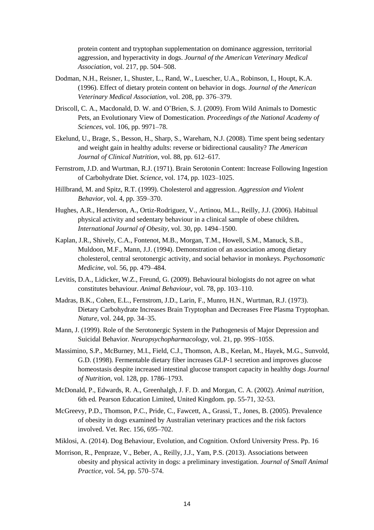protein content and tryptophan supplementation on dominance aggression, territorial aggression, and hyperactivity in dogs. *Journal of the American Veterinary Medical Association*, vol. 217, pp. 504–508.

- Dodman, N.H., Reisner, I., Shuster, L., Rand, W., Luescher, U.A., Robinson, I., Houpt, K.A. (1996). Effect of dietary protein content on behavior in dogs. *Journal of the American Veterinary Medical Association*, vol. 208, pp. 376–379.
- Driscoll, C. A., Macdonald, D. W. and O'Brien, S. J. (2009). From Wild Animals to Domestic Pets, an Evolutionary View of Domestication. *Proceedings of the National Academy of Sciences,* vol. 106, pp. 9971–78.
- Ekelund, U., Brage, S., Besson, H., Sharp, S., Wareham, N.J. (2008). Time spent being sedentary and weight gain in healthy adults: reverse or bidirectional causality? *The American Journal of Clinical Nutrition*, vol. 88, pp. 612–617.
- Fernstrom, J.D. and Wurtman, R.J. (1971). Brain Serotonin Content: Increase Following Ingestion of Carbohydrate Diet. *Science*, vol. 174, pp. 1023–1025.
- Hillbrand, M. and Spitz, R.T. (1999). Cholesterol and aggression. *Aggression and Violent Behavior*, vol. 4, pp. 359–370.
- Hughes, A.R., Henderson, A., Ortiz-Rodriguez, V., Artinou, M.L., Reilly, J.J. (2006). Habitual physical activity and sedentary behaviour in a clinical sample of obese children*. International Journal of Obesity,* vol. 30, pp. 1494–1500.
- Kaplan, J.R., Shively, C.A., Fontenot, M.B., Morgan, T.M., Howell, S.M., Manuck, S.B., Muldoon, M.F., Mann, J.J. (1994). Demonstration of an association among dietary cholesterol, central serotonergic activity, and social behavior in monkeys. *Psychosomatic Medicine*, vol. 56, pp. 479–484.
- Levitis, D.A., Lidicker, W.Z., Freund, G. (2009). Behavioural biologists do not agree on what constitutes behaviour. *Animal Behaviour*, vol. 78, pp. 103–110.
- Madras, B.K., Cohen, E.L., Fernstrom, J.D., Larin, F., Munro, H.N., Wurtman, R.J. (1973). Dietary Carbohydrate Increases Brain Tryptophan and Decreases Free Plasma Tryptophan. *Nature*, vol. 244, pp. 34–35.
- Mann, J. (1999). Role of the Serotonergic System in the Pathogenesis of Major Depression and Suicidal Behavior. *Neuropsychopharmacology*, vol. 21, pp. 99S–105S.
- Massimino, S.P., McBurney, M.I., Field, C.J., Thomson, A.B., Keelan, M., Hayek, M.G., Sunvold, G.D. (1998). Fermentable dietary fiber increases GLP-1 secretion and improves glucose homeostasis despite increased intestinal glucose transport capacity in healthy dogs *Journal of Nutrition*, vol. 128, pp. 1786–1793.
- McDonald, P., Edwards, R. A., Greenhalgh, J. F. D. and Morgan, C. A. (2002). *Animal nutrition,* 6th ed*.* Pearson Education Limited, United Kingdom. pp. 55-71, 32-53.
- McGreevy, P.D., Thomson, P.C., Pride, C., Fawcett, A., Grassi, T., Jones, B. (2005). Prevalence of obesity in dogs examined by Australian veterinary practices and the risk factors involved. Vet. Rec. 156, 695–702.
- Miklosi, A. (2014). Dog Behaviour, Evolution, and Cognition. Oxford University Press. Pp. 16
- Morrison, R., Penpraze, V., Beber, A., Reilly, J.J., Yam, P.S. (2013). Associations between obesity and physical activity in dogs: a preliminary investigation. *Journal of Small Animal Practice*, vol. 54, pp. 570–574.